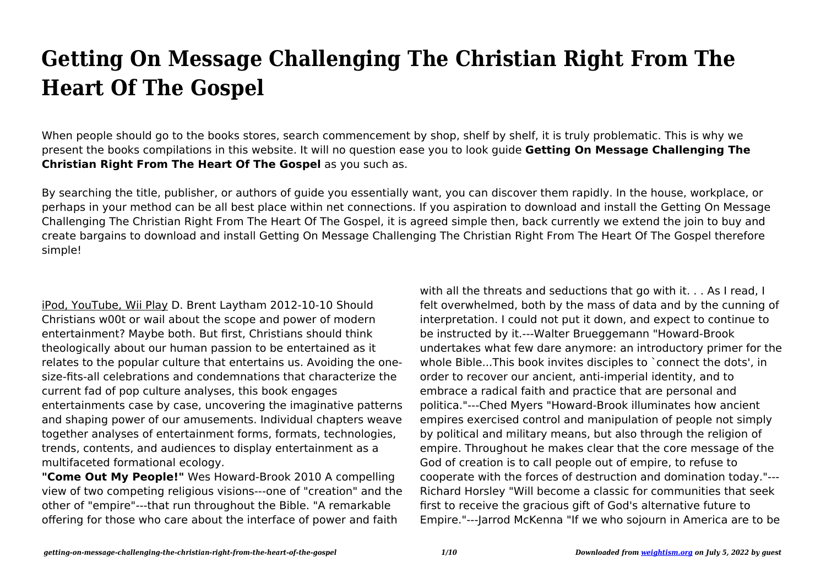## **Getting On Message Challenging The Christian Right From The Heart Of The Gospel**

When people should go to the books stores, search commencement by shop, shelf by shelf, it is truly problematic. This is why we present the books compilations in this website. It will no question ease you to look guide **Getting On Message Challenging The Christian Right From The Heart Of The Gospel** as you such as.

By searching the title, publisher, or authors of guide you essentially want, you can discover them rapidly. In the house, workplace, or perhaps in your method can be all best place within net connections. If you aspiration to download and install the Getting On Message Challenging The Christian Right From The Heart Of The Gospel, it is agreed simple then, back currently we extend the join to buy and create bargains to download and install Getting On Message Challenging The Christian Right From The Heart Of The Gospel therefore simple!

iPod, YouTube, Wii Play D. Brent Laytham 2012-10-10 Should Christians w00t or wail about the scope and power of modern entertainment? Maybe both. But first, Christians should think theologically about our human passion to be entertained as it relates to the popular culture that entertains us. Avoiding the onesize-fits-all celebrations and condemnations that characterize the current fad of pop culture analyses, this book engages entertainments case by case, uncovering the imaginative patterns and shaping power of our amusements. Individual chapters weave together analyses of entertainment forms, formats, technologies, trends, contents, and audiences to display entertainment as a multifaceted formational ecology.

**"Come Out My People!"** Wes Howard-Brook 2010 A compelling view of two competing religious visions---one of "creation" and the other of "empire"---that run throughout the Bible. "A remarkable offering for those who care about the interface of power and faith

with all the threats and seductions that go with it. . . As I read, I felt overwhelmed, both by the mass of data and by the cunning of interpretation. I could not put it down, and expect to continue to be instructed by it.---Walter Brueggemann "Howard-Brook undertakes what few dare anymore: an introductory primer for the whole Bible...This book invites disciples to `connect the dots', in order to recover our ancient, anti-imperial identity, and to embrace a radical faith and practice that are personal and politica."---Ched Myers "Howard-Brook illuminates how ancient empires exercised control and manipulation of people not simply by political and military means, but also through the religion of empire. Throughout he makes clear that the core message of the God of creation is to call people out of empire, to refuse to cooperate with the forces of destruction and domination today."--- Richard Horsley "Will become a classic for communities that seek first to receive the gracious gift of God's alternative future to Empire."---Jarrod McKenna "If we who sojourn in America are to be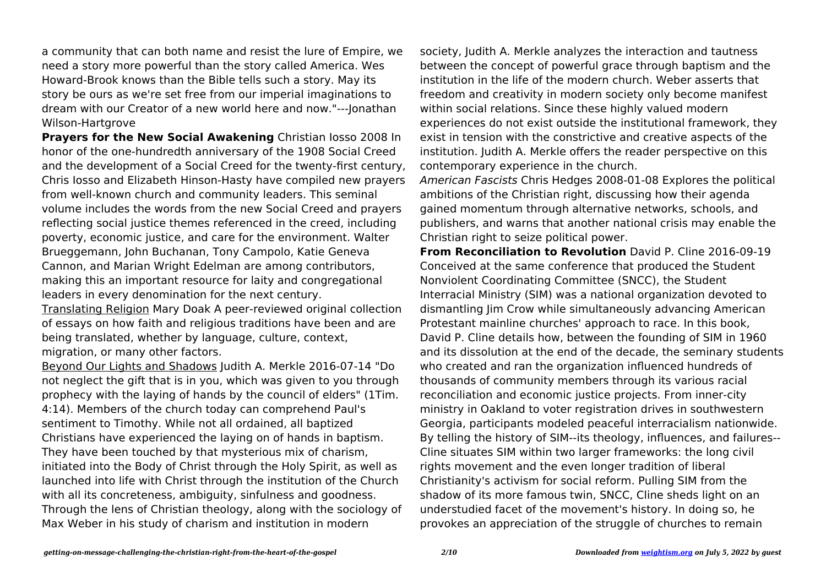a community that can both name and resist the lure of Empire, we need a story more powerful than the story called America. Wes Howard-Brook knows than the Bible tells such a story. May its story be ours as we're set free from our imperial imaginations to dream with our Creator of a new world here and now."---Jonathan Wilson-Hartgrove

**Prayers for the New Social Awakening** Christian Iosso 2008 In honor of the one-hundredth anniversary of the 1908 Social Creed and the development of a Social Creed for the twenty-first century, Chris Iosso and Elizabeth Hinson-Hasty have compiled new prayers from well-known church and community leaders. This seminal volume includes the words from the new Social Creed and prayers reflecting social justice themes referenced in the creed, including poverty, economic justice, and care for the environment. Walter Brueggemann, John Buchanan, Tony Campolo, Katie Geneva Cannon, and Marian Wright Edelman are among contributors, making this an important resource for laity and congregational leaders in every denomination for the next century.

Translating Religion Mary Doak A peer-reviewed original collection of essays on how faith and religious traditions have been and are being translated, whether by language, culture, context, migration, or many other factors.

Beyond Our Lights and Shadows Judith A. Merkle 2016-07-14 "Do not neglect the gift that is in you, which was given to you through prophecy with the laying of hands by the council of elders" (1Tim. 4:14). Members of the church today can comprehend Paul's sentiment to Timothy. While not all ordained, all baptized Christians have experienced the laying on of hands in baptism. They have been touched by that mysterious mix of charism, initiated into the Body of Christ through the Holy Spirit, as well as launched into life with Christ through the institution of the Church with all its concreteness, ambiguity, sinfulness and goodness. Through the lens of Christian theology, along with the sociology of Max Weber in his study of charism and institution in modern

society, Judith A. Merkle analyzes the interaction and tautness between the concept of powerful grace through baptism and the institution in the life of the modern church. Weber asserts that freedom and creativity in modern society only become manifest within social relations. Since these highly valued modern experiences do not exist outside the institutional framework, they exist in tension with the constrictive and creative aspects of the institution. Judith A. Merkle offers the reader perspective on this contemporary experience in the church.

American Fascists Chris Hedges 2008-01-08 Explores the political ambitions of the Christian right, discussing how their agenda gained momentum through alternative networks, schools, and publishers, and warns that another national crisis may enable the Christian right to seize political power.

**From Reconciliation to Revolution** David P. Cline 2016-09-19 Conceived at the same conference that produced the Student Nonviolent Coordinating Committee (SNCC), the Student Interracial Ministry (SIM) was a national organization devoted to dismantling Jim Crow while simultaneously advancing American Protestant mainline churches' approach to race. In this book, David P. Cline details how, between the founding of SIM in 1960 and its dissolution at the end of the decade, the seminary students who created and ran the organization influenced hundreds of thousands of community members through its various racial reconciliation and economic justice projects. From inner-city ministry in Oakland to voter registration drives in southwestern Georgia, participants modeled peaceful interracialism nationwide. By telling the history of SIM--its theology, influences, and failures-- Cline situates SIM within two larger frameworks: the long civil rights movement and the even longer tradition of liberal Christianity's activism for social reform. Pulling SIM from the shadow of its more famous twin, SNCC, Cline sheds light on an understudied facet of the movement's history. In doing so, he provokes an appreciation of the struggle of churches to remain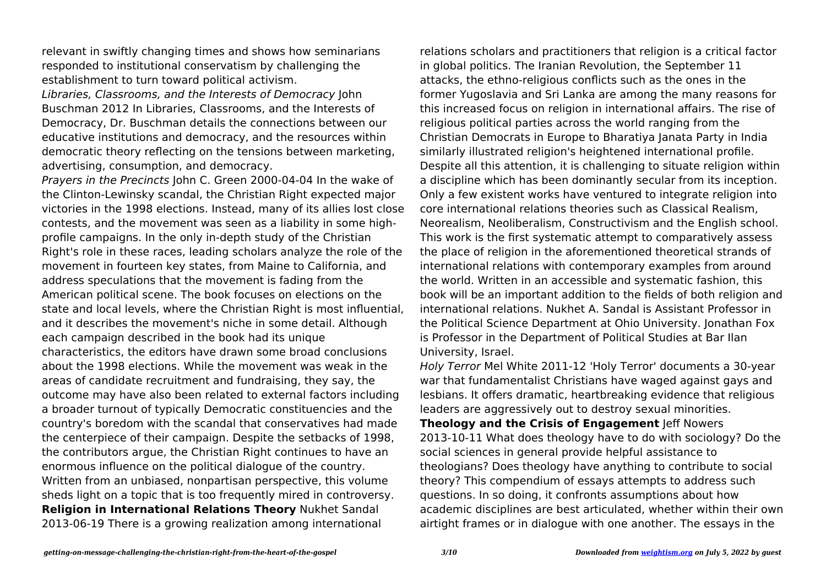relevant in swiftly changing times and shows how seminarians responded to institutional conservatism by challenging the establishment to turn toward political activism.

Libraries, Classrooms, and the Interests of Democracy John Buschman 2012 In Libraries, Classrooms, and the Interests of Democracy, Dr. Buschman details the connections between our educative institutions and democracy, and the resources within democratic theory reflecting on the tensions between marketing, advertising, consumption, and democracy.

Prayers in the Precincts John C. Green 2000-04-04 In the wake of the Clinton-Lewinsky scandal, the Christian Right expected major victories in the 1998 elections. Instead, many of its allies lost close contests, and the movement was seen as a liability in some highprofile campaigns. In the only in-depth study of the Christian Right's role in these races, leading scholars analyze the role of the movement in fourteen key states, from Maine to California, and address speculations that the movement is fading from the American political scene. The book focuses on elections on the state and local levels, where the Christian Right is most influential, and it describes the movement's niche in some detail. Although each campaign described in the book had its unique characteristics, the editors have drawn some broad conclusions about the 1998 elections. While the movement was weak in the areas of candidate recruitment and fundraising, they say, the outcome may have also been related to external factors including a broader turnout of typically Democratic constituencies and the country's boredom with the scandal that conservatives had made the centerpiece of their campaign. Despite the setbacks of 1998, the contributors argue, the Christian Right continues to have an enormous influence on the political dialogue of the country. Written from an unbiased, nonpartisan perspective, this volume sheds light on a topic that is too frequently mired in controversy. **Religion in International Relations Theory** Nukhet Sandal 2013-06-19 There is a growing realization among international

relations scholars and practitioners that religion is a critical factor in global politics. The Iranian Revolution, the September 11 attacks, the ethno-religious conflicts such as the ones in the former Yugoslavia and Sri Lanka are among the many reasons for this increased focus on religion in international affairs. The rise of religious political parties across the world ranging from the Christian Democrats in Europe to Bharatiya Janata Party in India similarly illustrated religion's heightened international profile. Despite all this attention, it is challenging to situate religion within a discipline which has been dominantly secular from its inception. Only a few existent works have ventured to integrate religion into core international relations theories such as Classical Realism, Neorealism, Neoliberalism, Constructivism and the English school. This work is the first systematic attempt to comparatively assess the place of religion in the aforementioned theoretical strands of international relations with contemporary examples from around the world. Written in an accessible and systematic fashion, this book will be an important addition to the fields of both religion and international relations. Nukhet A. Sandal is Assistant Professor in the Political Science Department at Ohio University. Jonathan Fox is Professor in the Department of Political Studies at Bar Ilan University, Israel.

Holy Terror Mel White 2011-12 'Holy Terror' documents a 30-year war that fundamentalist Christians have waged against gays and lesbians. It offers dramatic, heartbreaking evidence that religious leaders are aggressively out to destroy sexual minorities.

**Theology and the Crisis of Engagement** Jeff Nowers 2013-10-11 What does theology have to do with sociology? Do the social sciences in general provide helpful assistance to theologians? Does theology have anything to contribute to social theory? This compendium of essays attempts to address such questions. In so doing, it confronts assumptions about how academic disciplines are best articulated, whether within their own airtight frames or in dialogue with one another. The essays in the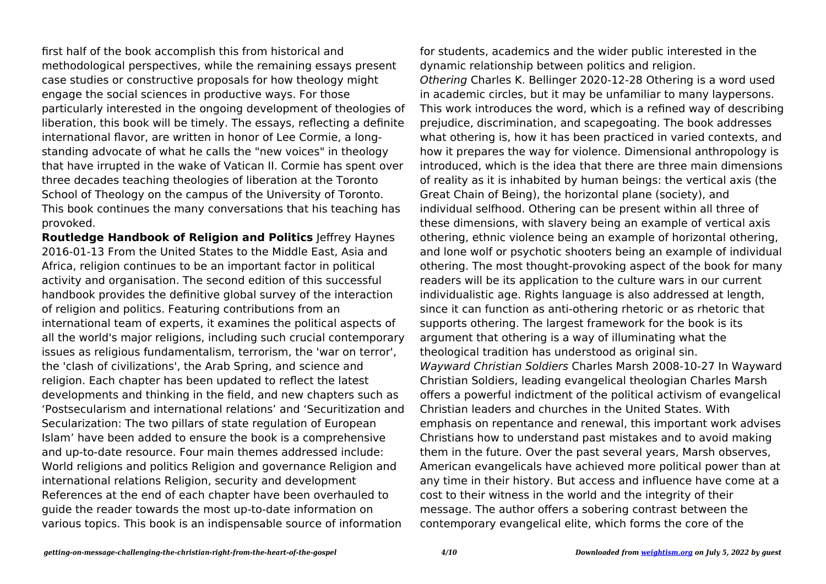first half of the book accomplish this from historical and methodological perspectives, while the remaining essays present case studies or constructive proposals for how theology might engage the social sciences in productive ways. For those particularly interested in the ongoing development of theologies of liberation, this book will be timely. The essays, reflecting a definite international flavor, are written in honor of Lee Cormie, a longstanding advocate of what he calls the "new voices" in theology that have irrupted in the wake of Vatican II. Cormie has spent over three decades teaching theologies of liberation at the Toronto School of Theology on the campus of the University of Toronto. This book continues the many conversations that his teaching has provoked.

**Routledge Handbook of Religion and Politics** Jeffrey Haynes 2016-01-13 From the United States to the Middle East, Asia and Africa, religion continues to be an important factor in political activity and organisation. The second edition of this successful handbook provides the definitive global survey of the interaction of religion and politics. Featuring contributions from an international team of experts, it examines the political aspects of all the world's major religions, including such crucial contemporary issues as religious fundamentalism, terrorism, the 'war on terror', the 'clash of civilizations', the Arab Spring, and science and religion. Each chapter has been updated to reflect the latest developments and thinking in the field, and new chapters such as 'Postsecularism and international relations' and 'Securitization and Secularization: The two pillars of state regulation of European Islam' have been added to ensure the book is a comprehensive and up-to-date resource. Four main themes addressed include: World religions and politics Religion and governance Religion and international relations Religion, security and development References at the end of each chapter have been overhauled to guide the reader towards the most up-to-date information on various topics. This book is an indispensable source of information

for students, academics and the wider public interested in the dynamic relationship between politics and religion. Othering Charles K. Bellinger 2020-12-28 Othering is a word used in academic circles, but it may be unfamiliar to many laypersons. This work introduces the word, which is a refined way of describing prejudice, discrimination, and scapegoating. The book addresses what othering is, how it has been practiced in varied contexts, and how it prepares the way for violence. Dimensional anthropology is introduced, which is the idea that there are three main dimensions of reality as it is inhabited by human beings: the vertical axis (the Great Chain of Being), the horizontal plane (society), and individual selfhood. Othering can be present within all three of these dimensions, with slavery being an example of vertical axis othering, ethnic violence being an example of horizontal othering, and lone wolf or psychotic shooters being an example of individual othering. The most thought-provoking aspect of the book for many readers will be its application to the culture wars in our current individualistic age. Rights language is also addressed at length, since it can function as anti-othering rhetoric or as rhetoric that supports othering. The largest framework for the book is its argument that othering is a way of illuminating what the theological tradition has understood as original sin. Wayward Christian Soldiers Charles Marsh 2008-10-27 In Wayward Christian Soldiers, leading evangelical theologian Charles Marsh offers a powerful indictment of the political activism of evangelical Christian leaders and churches in the United States. With emphasis on repentance and renewal, this important work advises Christians how to understand past mistakes and to avoid making them in the future. Over the past several years, Marsh observes, American evangelicals have achieved more political power than at any time in their history. But access and influence have come at a cost to their witness in the world and the integrity of their message. The author offers a sobering contrast between the contemporary evangelical elite, which forms the core of the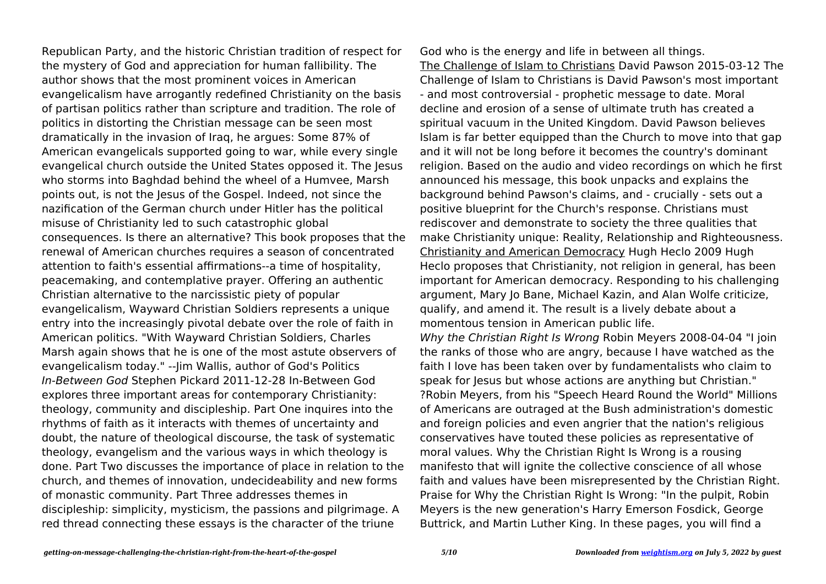Republican Party, and the historic Christian tradition of respect for the mystery of God and appreciation for human fallibility. The author shows that the most prominent voices in American evangelicalism have arrogantly redefined Christianity on the basis of partisan politics rather than scripture and tradition. The role of politics in distorting the Christian message can be seen most dramatically in the invasion of Iraq, he argues: Some 87% of American evangelicals supported going to war, while every single evangelical church outside the United States opposed it. The Jesus who storms into Baghdad behind the wheel of a Humvee, Marsh points out, is not the Jesus of the Gospel. Indeed, not since the nazification of the German church under Hitler has the political misuse of Christianity led to such catastrophic global consequences. Is there an alternative? This book proposes that the renewal of American churches requires a season of concentrated attention to faith's essential affirmations--a time of hospitality, peacemaking, and contemplative prayer. Offering an authentic Christian alternative to the narcissistic piety of popular evangelicalism, Wayward Christian Soldiers represents a unique entry into the increasingly pivotal debate over the role of faith in American politics. "With Wayward Christian Soldiers, Charles Marsh again shows that he is one of the most astute observers of evangelicalism today." --Jim Wallis, author of God's Politics In-Between God Stephen Pickard 2011-12-28 In-Between God explores three important areas for contemporary Christianity: theology, community and discipleship. Part One inquires into the rhythms of faith as it interacts with themes of uncertainty and doubt, the nature of theological discourse, the task of systematic theology, evangelism and the various ways in which theology is done. Part Two discusses the importance of place in relation to the church, and themes of innovation, undecideability and new forms of monastic community. Part Three addresses themes in discipleship: simplicity, mysticism, the passions and pilgrimage. A red thread connecting these essays is the character of the triune

God who is the energy and life in between all things. The Challenge of Islam to Christians David Pawson 2015-03-12 The Challenge of Islam to Christians is David Pawson's most important - and most controversial - prophetic message to date. Moral decline and erosion of a sense of ultimate truth has created a spiritual vacuum in the United Kingdom. David Pawson believes Islam is far better equipped than the Church to move into that gap and it will not be long before it becomes the country's dominant religion. Based on the audio and video recordings on which he first announced his message, this book unpacks and explains the background behind Pawson's claims, and - crucially - sets out a positive blueprint for the Church's response. Christians must rediscover and demonstrate to society the three qualities that make Christianity unique: Reality, Relationship and Righteousness. Christianity and American Democracy Hugh Heclo 2009 Hugh Heclo proposes that Christianity, not religion in general, has been important for American democracy. Responding to his challenging argument, Mary Jo Bane, Michael Kazin, and Alan Wolfe criticize, qualify, and amend it. The result is a lively debate about a momentous tension in American public life.

Why the Christian Right Is Wrong Robin Meyers 2008-04-04 "I join the ranks of those who are angry, because I have watched as the faith I love has been taken over by fundamentalists who claim to speak for Jesus but whose actions are anything but Christian." ?Robin Meyers, from his "Speech Heard Round the World" Millions of Americans are outraged at the Bush administration's domestic and foreign policies and even angrier that the nation's religious conservatives have touted these policies as representative of moral values. Why the Christian Right Is Wrong is a rousing manifesto that will ignite the collective conscience of all whose faith and values have been misrepresented by the Christian Right. Praise for Why the Christian Right Is Wrong: "In the pulpit, Robin Meyers is the new generation's Harry Emerson Fosdick, George Buttrick, and Martin Luther King. In these pages, you will find a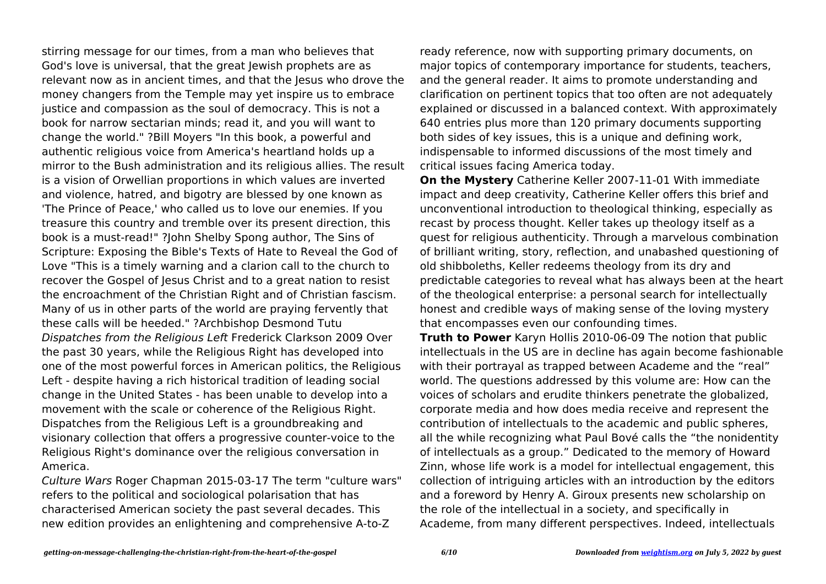stirring message for our times, from a man who believes that God's love is universal, that the great Jewish prophets are as relevant now as in ancient times, and that the Jesus who drove the money changers from the Temple may yet inspire us to embrace justice and compassion as the soul of democracy. This is not a book for narrow sectarian minds; read it, and you will want to change the world." ?Bill Moyers "In this book, a powerful and authentic religious voice from America's heartland holds up a mirror to the Bush administration and its religious allies. The result is a vision of Orwellian proportions in which values are inverted and violence, hatred, and bigotry are blessed by one known as 'The Prince of Peace,' who called us to love our enemies. If you treasure this country and tremble over its present direction, this book is a must-read!" ?John Shelby Spong author, The Sins of Scripture: Exposing the Bible's Texts of Hate to Reveal the God of Love "This is a timely warning and a clarion call to the church to recover the Gospel of Jesus Christ and to a great nation to resist the encroachment of the Christian Right and of Christian fascism. Many of us in other parts of the world are praying fervently that these calls will be heeded." ?Archbishop Desmond Tutu Dispatches from the Religious Left Frederick Clarkson 2009 Over the past 30 years, while the Religious Right has developed into one of the most powerful forces in American politics, the Religious Left - despite having a rich historical tradition of leading social change in the United States - has been unable to develop into a movement with the scale or coherence of the Religious Right. Dispatches from the Religious Left is a groundbreaking and visionary collection that offers a progressive counter-voice to the Religious Right's dominance over the religious conversation in America.

Culture Wars Roger Chapman 2015-03-17 The term "culture wars" refers to the political and sociological polarisation that has characterised American society the past several decades. This new edition provides an enlightening and comprehensive A-to-Z

ready reference, now with supporting primary documents, on major topics of contemporary importance for students, teachers, and the general reader. It aims to promote understanding and clarification on pertinent topics that too often are not adequately explained or discussed in a balanced context. With approximately 640 entries plus more than 120 primary documents supporting both sides of key issues, this is a unique and defining work, indispensable to informed discussions of the most timely and critical issues facing America today.

**On the Mystery** Catherine Keller 2007-11-01 With immediate impact and deep creativity, Catherine Keller offers this brief and unconventional introduction to theological thinking, especially as recast by process thought. Keller takes up theology itself as a quest for religious authenticity. Through a marvelous combination of brilliant writing, story, reflection, and unabashed questioning of old shibboleths, Keller redeems theology from its dry and predictable categories to reveal what has always been at the heart of the theological enterprise: a personal search for intellectually honest and credible ways of making sense of the loving mystery that encompasses even our confounding times.

**Truth to Power** Karyn Hollis 2010-06-09 The notion that public intellectuals in the US are in decline has again become fashionable with their portrayal as trapped between Academe and the "real" world. The questions addressed by this volume are: How can the voices of scholars and erudite thinkers penetrate the globalized, corporate media and how does media receive and represent the contribution of intellectuals to the academic and public spheres, all the while recognizing what Paul Bové calls the "the nonidentity of intellectuals as a group." Dedicated to the memory of Howard Zinn, whose life work is a model for intellectual engagement, this collection of intriguing articles with an introduction by the editors and a foreword by Henry A. Giroux presents new scholarship on the role of the intellectual in a society, and specifically in Academe, from many different perspectives. Indeed, intellectuals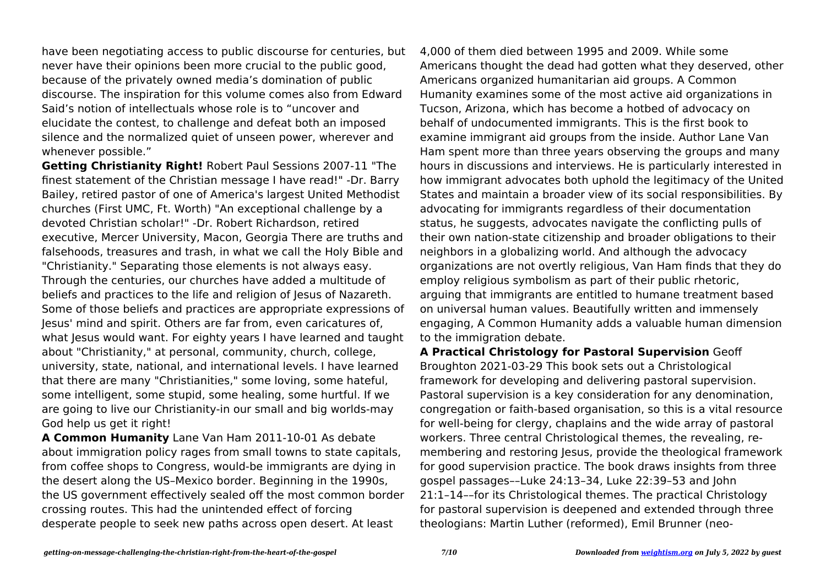have been negotiating access to public discourse for centuries, but never have their opinions been more crucial to the public good, because of the privately owned media's domination of public discourse. The inspiration for this volume comes also from Edward Said's notion of intellectuals whose role is to "uncover and elucidate the contest, to challenge and defeat both an imposed silence and the normalized quiet of unseen power, wherever and whenever possible."

**Getting Christianity Right!** Robert Paul Sessions 2007-11 "The finest statement of the Christian message I have read!" -Dr. Barry Bailey, retired pastor of one of America's largest United Methodist churches (First UMC, Ft. Worth) "An exceptional challenge by a devoted Christian scholar!" -Dr. Robert Richardson, retired executive, Mercer University, Macon, Georgia There are truths and falsehoods, treasures and trash, in what we call the Holy Bible and "Christianity." Separating those elements is not always easy. Through the centuries, our churches have added a multitude of beliefs and practices to the life and religion of Jesus of Nazareth. Some of those beliefs and practices are appropriate expressions of Jesus' mind and spirit. Others are far from, even caricatures of, what Jesus would want. For eighty years I have learned and taught about "Christianity," at personal, community, church, college, university, state, national, and international levels. I have learned that there are many "Christianities," some loving, some hateful, some intelligent, some stupid, some healing, some hurtful. If we are going to live our Christianity-in our small and big worlds-may God help us get it right!

**A Common Humanity** Lane Van Ham 2011-10-01 As debate about immigration policy rages from small towns to state capitals, from coffee shops to Congress, would-be immigrants are dying in the desert along the US–Mexico border. Beginning in the 1990s, the US government effectively sealed off the most common border crossing routes. This had the unintended effect of forcing desperate people to seek new paths across open desert. At least

4,000 of them died between 1995 and 2009. While some Americans thought the dead had gotten what they deserved, other Americans organized humanitarian aid groups. A Common Humanity examines some of the most active aid organizations in Tucson, Arizona, which has become a hotbed of advocacy on behalf of undocumented immigrants. This is the first book to examine immigrant aid groups from the inside. Author Lane Van Ham spent more than three years observing the groups and many hours in discussions and interviews. He is particularly interested in how immigrant advocates both uphold the legitimacy of the United States and maintain a broader view of its social responsibilities. By advocating for immigrants regardless of their documentation status, he suggests, advocates navigate the conflicting pulls of their own nation-state citizenship and broader obligations to their neighbors in a globalizing world. And although the advocacy organizations are not overtly religious, Van Ham finds that they do employ religious symbolism as part of their public rhetoric, arguing that immigrants are entitled to humane treatment based on universal human values. Beautifully written and immensely engaging, A Common Humanity adds a valuable human dimension to the immigration debate.

**A Practical Christology for Pastoral Supervision** Geoff Broughton 2021-03-29 This book sets out a Christological framework for developing and delivering pastoral supervision. Pastoral supervision is a key consideration for any denomination, congregation or faith-based organisation, so this is a vital resource for well-being for clergy, chaplains and the wide array of pastoral workers. Three central Christological themes, the revealing, remembering and restoring Jesus, provide the theological framework for good supervision practice. The book draws insights from three gospel passages––Luke 24:13–34, Luke 22:39–53 and John 21:1–14––for its Christological themes. The practical Christology for pastoral supervision is deepened and extended through three theologians: Martin Luther (reformed), Emil Brunner (neo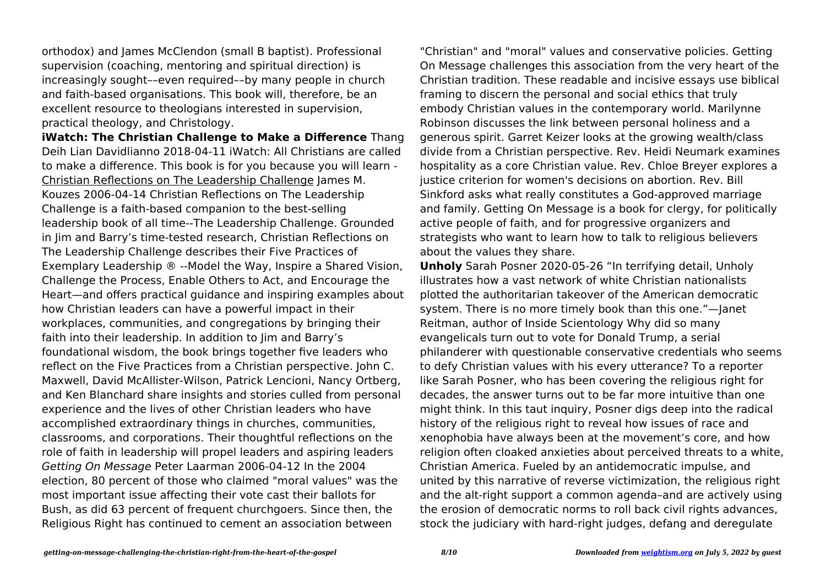orthodox) and James McClendon (small B baptist). Professional supervision (coaching, mentoring and spiritual direction) is increasingly sought––even required––by many people in church and faith-based organisations. This book will, therefore, be an excellent resource to theologians interested in supervision, practical theology, and Christology.

**iWatch: The Christian Challenge to Make a Difference** Thang Deih Lian Davidlianno 2018-04-11 iWatch: All Christians are called to make a difference. This book is for you because you will learn - Christian Reflections on The Leadership Challenge James M. Kouzes 2006-04-14 Christian Reflections on The Leadership Challenge is a faith-based companion to the best-selling leadership book of all time--The Leadership Challenge. Grounded in Jim and Barry's time-tested research, Christian Reflections on The Leadership Challenge describes their Five Practices of Exemplary Leadership ® --Model the Way, Inspire a Shared Vision, Challenge the Process, Enable Others to Act, and Encourage the Heart—and offers practical guidance and inspiring examples about how Christian leaders can have a powerful impact in their workplaces, communities, and congregations by bringing their faith into their leadership. In addition to Jim and Barry's foundational wisdom, the book brings together five leaders who reflect on the Five Practices from a Christian perspective. John C. Maxwell, David McAllister-Wilson, Patrick Lencioni, Nancy Ortberg, and Ken Blanchard share insights and stories culled from personal experience and the lives of other Christian leaders who have accomplished extraordinary things in churches, communities, classrooms, and corporations. Their thoughtful reflections on the role of faith in leadership will propel leaders and aspiring leaders Getting On Message Peter Laarman 2006-04-12 In the 2004 election, 80 percent of those who claimed "moral values" was the most important issue affecting their vote cast their ballots for Bush, as did 63 percent of frequent churchgoers. Since then, the Religious Right has continued to cement an association between

"Christian" and "moral" values and conservative policies. Getting On Message challenges this association from the very heart of the Christian tradition. These readable and incisive essays use biblical framing to discern the personal and social ethics that truly embody Christian values in the contemporary world. Marilynne Robinson discusses the link between personal holiness and a generous spirit. Garret Keizer looks at the growing wealth/class divide from a Christian perspective. Rev. Heidi Neumark examines hospitality as a core Christian value. Rev. Chloe Breyer explores a justice criterion for women's decisions on abortion. Rev. Bill Sinkford asks what really constitutes a God-approved marriage and family. Getting On Message is a book for clergy, for politically active people of faith, and for progressive organizers and strategists who want to learn how to talk to religious believers about the values they share.

**Unholy** Sarah Posner 2020-05-26 "In terrifying detail, Unholy illustrates how a vast network of white Christian nationalists plotted the authoritarian takeover of the American democratic system. There is no more timely book than this one."—Janet Reitman, author of Inside Scientology Why did so many evangelicals turn out to vote for Donald Trump, a serial philanderer with questionable conservative credentials who seems to defy Christian values with his every utterance? To a reporter like Sarah Posner, who has been covering the religious right for decades, the answer turns out to be far more intuitive than one might think. In this taut inquiry, Posner digs deep into the radical history of the religious right to reveal how issues of race and xenophobia have always been at the movement's core, and how religion often cloaked anxieties about perceived threats to a white, Christian America. Fueled by an antidemocratic impulse, and united by this narrative of reverse victimization, the religious right and the alt-right support a common agenda–and are actively using the erosion of democratic norms to roll back civil rights advances, stock the judiciary with hard-right judges, defang and deregulate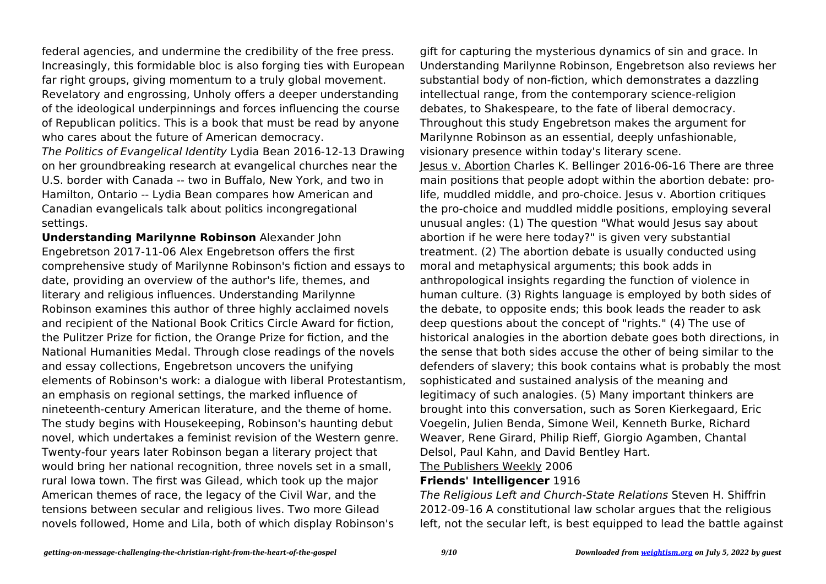federal agencies, and undermine the credibility of the free press. Increasingly, this formidable bloc is also forging ties with European far right groups, giving momentum to a truly global movement. Revelatory and engrossing, Unholy offers a deeper understanding of the ideological underpinnings and forces influencing the course of Republican politics. This is a book that must be read by anyone who cares about the future of American democracy. The Politics of Evangelical Identity Lydia Bean 2016-12-13 Drawing

on her groundbreaking research at evangelical churches near the U.S. border with Canada -- two in Buffalo, New York, and two in Hamilton, Ontario -- Lydia Bean compares how American and Canadian evangelicals talk about politics incongregational settings.

**Understanding Marilynne Robinson** Alexander John Engebretson 2017-11-06 Alex Engebretson offers the first comprehensive study of Marilynne Robinson's fiction and essays to date, providing an overview of the author's life, themes, and literary and religious influences. Understanding Marilynne Robinson examines this author of three highly acclaimed novels and recipient of the National Book Critics Circle Award for fiction, the Pulitzer Prize for fiction, the Orange Prize for fiction, and the National Humanities Medal. Through close readings of the novels and essay collections, Engebretson uncovers the unifying elements of Robinson's work: a dialogue with liberal Protestantism, an emphasis on regional settings, the marked influence of nineteenth-century American literature, and the theme of home. The study begins with Housekeeping, Robinson's haunting debut novel, which undertakes a feminist revision of the Western genre. Twenty-four years later Robinson began a literary project that would bring her national recognition, three novels set in a small, rural Iowa town. The first was Gilead, which took up the major American themes of race, the legacy of the Civil War, and the tensions between secular and religious lives. Two more Gilead novels followed, Home and Lila, both of which display Robinson's

gift for capturing the mysterious dynamics of sin and grace. In Understanding Marilynne Robinson, Engebretson also reviews her substantial body of non-fiction, which demonstrates a dazzling intellectual range, from the contemporary science-religion debates, to Shakespeare, to the fate of liberal democracy. Throughout this study Engebretson makes the argument for Marilynne Robinson as an essential, deeply unfashionable, visionary presence within today's literary scene.

Jesus v. Abortion Charles K. Bellinger 2016-06-16 There are three main positions that people adopt within the abortion debate: prolife, muddled middle, and pro-choice. Jesus v. Abortion critiques the pro-choice and muddled middle positions, employing several unusual angles: (1) The question "What would Jesus say about abortion if he were here today?" is given very substantial treatment. (2) The abortion debate is usually conducted using moral and metaphysical arguments; this book adds in anthropological insights regarding the function of violence in human culture. (3) Rights language is employed by both sides of the debate, to opposite ends; this book leads the reader to ask deep questions about the concept of "rights." (4) The use of historical analogies in the abortion debate goes both directions, in the sense that both sides accuse the other of being similar to the defenders of slavery; this book contains what is probably the most sophisticated and sustained analysis of the meaning and legitimacy of such analogies. (5) Many important thinkers are brought into this conversation, such as Soren Kierkegaard, Eric Voegelin, Julien Benda, Simone Weil, Kenneth Burke, Richard Weaver, Rene Girard, Philip Rieff, Giorgio Agamben, Chantal Delsol, Paul Kahn, and David Bentley Hart.

The Publishers Weekly 2006

## **Friends' Intelligencer** 1916

The Religious Left and Church-State Relations Steven H. Shiffrin 2012-09-16 A constitutional law scholar argues that the religious left, not the secular left, is best equipped to lead the battle against